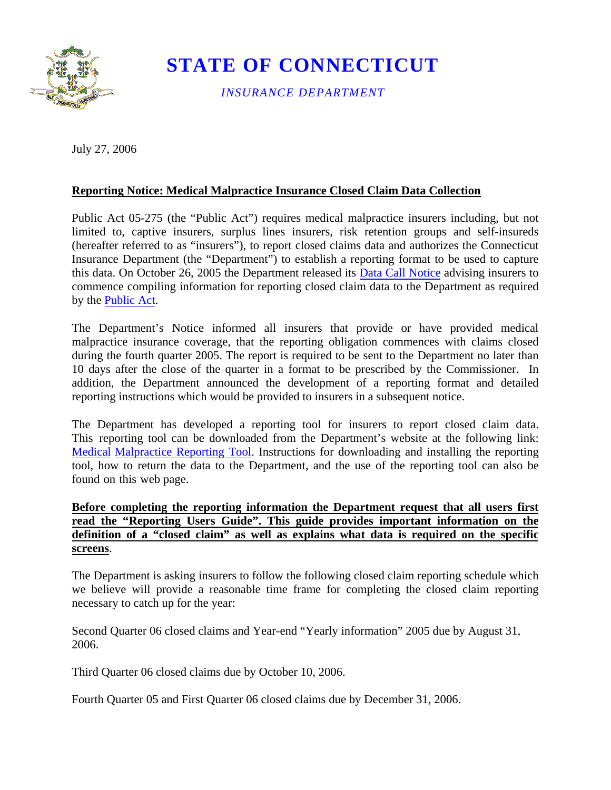

## **STATE OF CONNECTICUT**

*INSURANCE DEPARTMENT* 

July 27, 2006

## **Reporting Notice: Medical Malpractice Insurance Closed Claim Data Collection**

Public Act 05-275 (the "Public Act") requires medical malpractice insurers including, but not limited to, captive insurers, surplus lines insurers, risk retention groups and self-insureds (hereafter referred to as "insurers"), to report closed claims data and authorizes the Connecticut Insurance Department (the "Department") to establish a reporting format to be used to capture this data. On October 26, 2005 the Department released its [Data Call Notice](https://portal.ct.gov/-/media/CID/pcnoticemalpdf.pdf?la=en) advising insurers to commence compiling information for reporting closed claim data to the Department as required by the [Public Act.](http://www.cga.ct.gov/2005/ACT/Pa/pdf/2005PA-00275-R00SB-01052-PA.pdf)

The Department's Notice informed all insurers that provide or have provided medical malpractice insurance coverage, that the reporting obligation commences with claims closed during the fourth quarter 2005. The report is required to be sent to the Department no later than 10 days after the close of the quarter in a format to be prescribed by the Commissioner. In addition, the Department announced the development of a reporting format and detailed reporting instructions which would be provided to insurers in a subsequent notice.

The Department has developed a reporting tool for insurers to report closed claim data. This reporting tool can be downloaded from the Department's website at the following link: [Medical Malpractice Reporting Tool.](https://cidonline.ct.gov/mmdc/Login_input.action) Instructions for downloading and installing the reporting tool, how to return the data to the Department, and the use of the reporting tool can also be found on this web page.

## **Before completing the reporting information the Department request that all users first read the "Reporting Users Guide". This guide provides important information on the definition of a "closed claim" as well as explains what data is required on the specific screens**.

The Department is asking insurers to follow the following closed claim reporting schedule which we believe will provide a reasonable time frame for completing the closed claim reporting necessary to catch up for the year:

Second Quarter 06 closed claims and Year-end "Yearly information" 2005 due by August 31, 2006.

Third Quarter 06 closed claims due by October 10, 2006.

Fourth Quarter 05 and First Quarter 06 closed claims due by December 31, 2006.